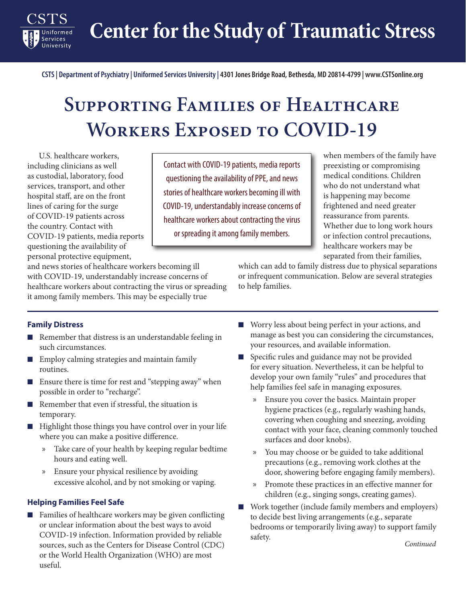**Center for the Study of Traumatic Stress**

**CSTS | Department of Psychiatry | Uniformed Services University | 4301 Jones Bridge Road, Bethesda, MD 20814-4799 | www.CSTSonline.org**

# **Supporting Families of Healthcare Workers Exposed to COVID-19**

U.S. healthcare workers, including clinicians as well as custodial, laboratory, food services, transport, and other hospital staff, are on the front lines of caring for the surge of COVID-19 patients across the country. Contact with COVID-19 patients, media reports questioning the availability of personal protective equipment,

Contact with COVID-19 patients, media reports questioning the availability of PPE, and news stories of healthcare workers becoming ill with COVID-19, understandably increase concerns of healthcare workers about contracting the virus or spreading it among family members.

when members of the family have preexisting or compromising medical conditions. Children who do not understand what is happening may become frightened and need greater reassurance from parents. Whether due to long work hours or infection control precautions, healthcare workers may be separated from their families,

and news stories of healthcare workers becoming ill with COVID-19, understandably increase concerns of healthcare workers about contracting the virus or spreading it among family members. This may be especially true

which can add to family distress due to physical separations or infrequent communication. Below are several strategies to help families.

# **Family Distress**

Services University

- Remember that distress is an understandable feeling in such circumstances.
- Employ calming strategies and maintain family routines.
- Ensure there is time for rest and "stepping away" when possible in order to "recharge".
- Remember that even if stressful, the situation is temporary.
- Highlight those things you have control over in your life where you can make a positive difference.
	- x Take care of your health by keeping regular bedtime hours and eating well.
	- x Ensure your physical resilience by avoiding excessive alcohol, and by not smoking or vaping.

#### **Helping Families Feel Safe**

■ Families of healthcare workers may be given conflicting or unclear information about the best ways to avoid COVID-19 infection. Information provided by reliable sources, such as the Centers for Disease Control (CDC) or the World Health Organization (WHO) are most useful.

- Worry less about being perfect in your actions, and manage as best you can considering the circumstances, your resources, and available information.
- Specific rules and guidance may not be provided for every situation. Nevertheless, it can be helpful to develop your own family "rules" and procedures that help families feel safe in managing exposures.
	- x Ensure you cover the basics. Maintain proper hygiene practices (e.g., regularly washing hands, covering when coughing and sneezing, avoiding contact with your face, cleaning commonly touched surfaces and door knobs).
	- x You may choose or be guided to take additional precautions (e.g., removing work clothes at the door, showering before engaging family members).
	- x Promote these practices in an effective manner for children (e.g., singing songs, creating games).
- Work together (include family members and employers) to decide best living arrangements (e.g., separate bedrooms or temporarily living away) to support family safety.